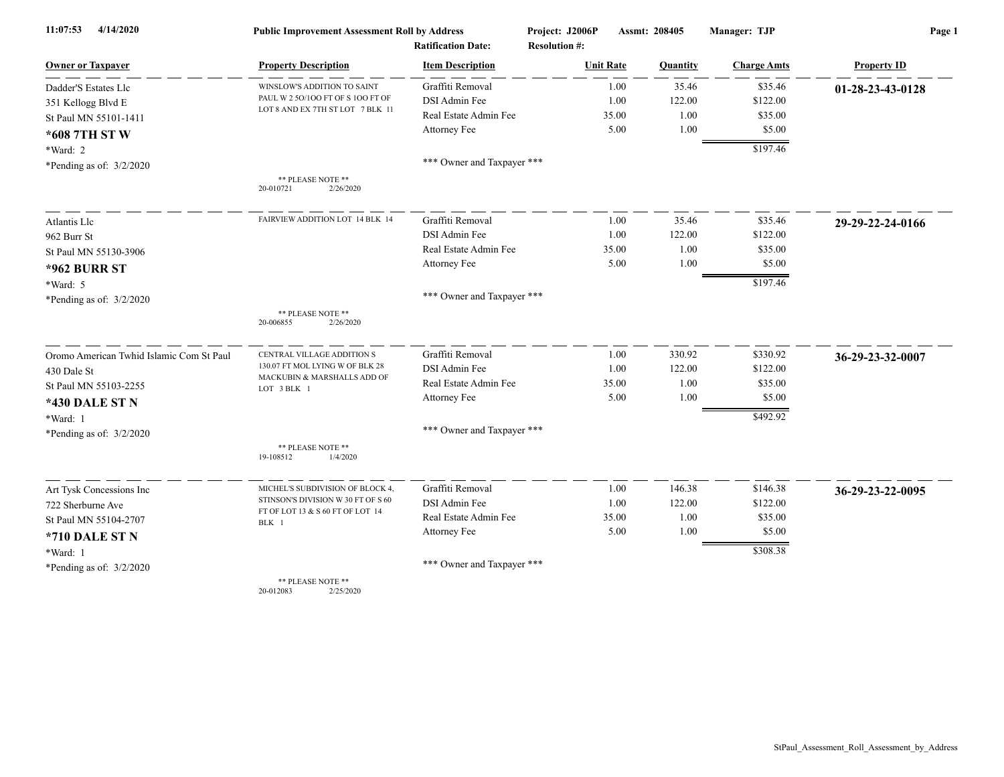| 11:07:53<br>4/14/2020                    | <b>Public Improvement Assessment Roll by Address</b>                            |                            | Project: J2006P      | Assmt: 208405 | Manager: TJP       | Page 1             |  |
|------------------------------------------|---------------------------------------------------------------------------------|----------------------------|----------------------|---------------|--------------------|--------------------|--|
|                                          |                                                                                 | <b>Ratification Date:</b>  | <b>Resolution #:</b> |               |                    |                    |  |
| <b>Owner or Taxpayer</b>                 | <b>Property Description</b>                                                     | <b>Item Description</b>    | <b>Unit Rate</b>     | Quantity      | <b>Charge Amts</b> | <b>Property ID</b> |  |
| Dadder'S Estates Llc                     | WINSLOW'S ADDITION TO SAINT<br>PAUL W 2 50/100 FT OF S 100 FT OF                | Graffiti Removal           | 1.00                 | 35.46         | \$35.46            | 01-28-23-43-0128   |  |
| 351 Kellogg Blvd E                       |                                                                                 | DSI Admin Fee              | 1.00                 | 122.00        | \$122.00           |                    |  |
| St Paul MN 55101-1411                    | LOT 8 AND EX 7TH ST LOT 7 BLK 11                                                | Real Estate Admin Fee      | 35.00                | 1.00          | \$35.00            |                    |  |
| *608 7TH ST W                            |                                                                                 | Attorney Fee               | 5.00                 | 1.00          | \$5.00             |                    |  |
| *Ward: 2                                 |                                                                                 |                            |                      |               | \$197.46           |                    |  |
| *Pending as of: $3/2/2020$               |                                                                                 | *** Owner and Taxpayer *** |                      |               |                    |                    |  |
|                                          | ** PLEASE NOTE **<br>20-010721<br>2/26/2020                                     |                            |                      |               |                    |                    |  |
| Atlantis Llc                             | FAIRVIEW ADDITION LOT 14 BLK 14                                                 | Graffiti Removal           | 1.00                 | 35.46         | \$35.46            | 29-29-22-24-0166   |  |
| 962 Burr St                              |                                                                                 | DSI Admin Fee              | 1.00                 | 122.00        | \$122.00           |                    |  |
| St Paul MN 55130-3906                    |                                                                                 | Real Estate Admin Fee      | 35.00                | 1.00          | \$35.00            |                    |  |
| <b>*962 BURR ST</b>                      |                                                                                 | Attorney Fee               | 5.00                 | 1.00          | \$5.00             |                    |  |
| *Ward: 5                                 |                                                                                 |                            |                      |               | \$197.46           |                    |  |
| *Pending as of: $3/2/2020$               |                                                                                 | *** Owner and Taxpayer *** |                      |               |                    |                    |  |
|                                          | ** PLEASE NOTE **<br>20-006855<br>2/26/2020                                     |                            |                      |               |                    |                    |  |
| Oromo American Twhid Islamic Com St Paul | CENTRAL VILLAGE ADDITION S                                                      | Graffiti Removal           | 1.00                 | 330.92        | \$330.92           | 36-29-23-32-0007   |  |
| 430 Dale St                              | 130.07 FT MOL LYING W OF BLK 28<br>MACKUBIN & MARSHALLS ADD OF                  | DSI Admin Fee              | 1.00                 | 122.00        | \$122.00           |                    |  |
| St Paul MN 55103-2255                    | LOT 3 BLK 1                                                                     | Real Estate Admin Fee      | 35.00                | 1.00          | \$35.00            |                    |  |
| <b>*430 DALE ST N</b>                    |                                                                                 | Attorney Fee               | 5.00                 | 1.00          | \$5.00             |                    |  |
| *Ward: 1                                 |                                                                                 |                            |                      |               | \$492.92           |                    |  |
| *Pending as of: $3/2/2020$               |                                                                                 | *** Owner and Taxpayer *** |                      |               |                    |                    |  |
|                                          | ** PLEASE NOTE **<br>19-108512<br>1/4/2020                                      |                            |                      |               |                    |                    |  |
| Art Tysk Concessions Inc                 | MICHEL'S SUBDIVISION OF BLOCK 4,                                                | Graffiti Removal           | 1.00                 | 146.38        | \$146.38           | 36-29-23-22-0095   |  |
| 722 Sherburne Ave                        | STINSON'S DIVISION W 30 FT OF S 60<br>FT OF LOT 13 & S 60 FT OF LOT 14<br>BLK 1 | DSI Admin Fee              | 1.00                 | 122.00        | \$122.00           |                    |  |
| St Paul MN 55104-2707                    |                                                                                 | Real Estate Admin Fee      | 35.00                | 1.00          | \$35.00            |                    |  |
| *710 DALE ST N                           |                                                                                 | Attorney Fee               | 5.00                 | 1.00          | \$5.00             |                    |  |
| *Ward: 1                                 |                                                                                 |                            |                      |               | \$308.38           |                    |  |
| *Pending as of: $3/2/2020$               |                                                                                 | *** Owner and Taxpayer *** |                      |               |                    |                    |  |
|                                          | ** PLEASE NOTE **                                                               |                            |                      |               |                    |                    |  |

20-012083 2/25/2020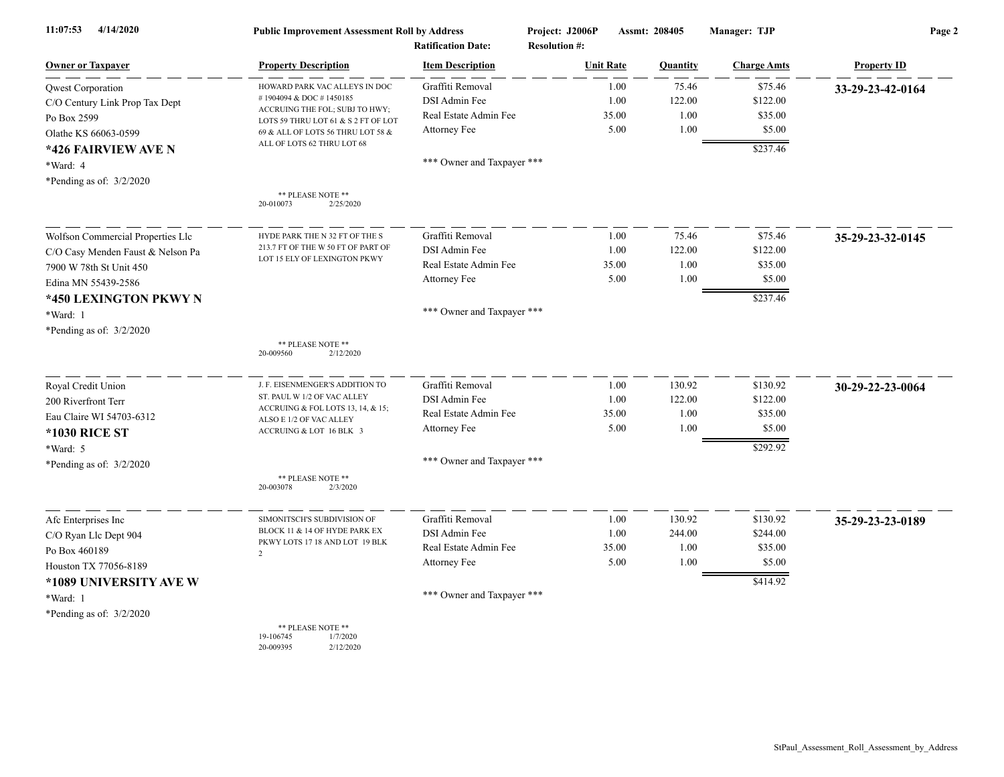| 11:07:53<br>4/14/2020             | <b>Public Improvement Assessment Roll by Address</b><br><b>Ratification Date:</b> |                            | Project: J2006P<br>Assmt: 208405<br><b>Resolution #:</b> |       |                 | Manager: TJP       | Page 2             |  |
|-----------------------------------|-----------------------------------------------------------------------------------|----------------------------|----------------------------------------------------------|-------|-----------------|--------------------|--------------------|--|
| <b>Owner or Taxpayer</b>          | <b>Property Description</b>                                                       | <b>Item Description</b>    | <b>Unit Rate</b>                                         |       | <b>Ouantity</b> | <b>Charge Amts</b> | <b>Property ID</b> |  |
| Qwest Corporation                 | HOWARD PARK VAC ALLEYS IN DOC                                                     | Graffiti Removal           |                                                          | 1.00  | 75.46           | \$75.46            | 33-29-23-42-0164   |  |
| C/O Century Link Prop Tax Dept    | #1904094 & DOC #1450185                                                           | DSI Admin Fee              |                                                          | 1.00  | 122.00          | \$122.00           |                    |  |
| Po Box 2599                       | ACCRUING THE FOL; SUBJ TO HWY;<br>LOTS 59 THRU LOT 61 & S 2 FT OF LOT             | Real Estate Admin Fee      |                                                          | 35.00 | 1.00            | \$35.00            |                    |  |
| Olathe KS 66063-0599              | 69 & ALL OF LOTS 56 THRU LOT 58 &                                                 | Attorney Fee               |                                                          | 5.00  | 1.00            | \$5.00             |                    |  |
| *426 FAIRVIEW AVE N               | ALL OF LOTS 62 THRU LOT 68                                                        |                            |                                                          |       |                 | \$237.46           |                    |  |
| *Ward: 4                          |                                                                                   | *** Owner and Taxpayer *** |                                                          |       |                 |                    |                    |  |
| *Pending as of: $3/2/2020$        |                                                                                   |                            |                                                          |       |                 |                    |                    |  |
|                                   | ** PLEASE NOTE **<br>20-010073<br>2/25/2020                                       |                            |                                                          |       |                 |                    |                    |  |
| Wolfson Commercial Properties Llc | HYDE PARK THE N 32 FT OF THE S                                                    | Graffiti Removal           |                                                          | 1.00  | 75.46           | \$75.46            | 35-29-23-32-0145   |  |
| C/O Casy Menden Faust & Nelson Pa | 213.7 FT OF THE W 50 FT OF PART OF                                                | DSI Admin Fee              |                                                          | 1.00  | 122.00          | \$122.00           |                    |  |
| 7900 W 78th St Unit 450           | LOT 15 ELY OF LEXINGTON PKWY                                                      | Real Estate Admin Fee      |                                                          | 35.00 | 1.00            | \$35.00            |                    |  |
| Edina MN 55439-2586               |                                                                                   | Attorney Fee               |                                                          | 5.00  | 1.00            | \$5.00             |                    |  |
| *450 LEXINGTON PKWY N             |                                                                                   |                            |                                                          |       |                 | \$237.46           |                    |  |
| *Ward: 1                          |                                                                                   | *** Owner and Taxpayer *** |                                                          |       |                 |                    |                    |  |
| *Pending as of: $3/2/2020$        |                                                                                   |                            |                                                          |       |                 |                    |                    |  |
|                                   | ** PLEASE NOTE **<br>2/12/2020<br>20-009560                                       |                            |                                                          |       |                 |                    |                    |  |
| Royal Credit Union                | J. F. EISENMENGER'S ADDITION TO                                                   | Graffiti Removal           |                                                          | 1.00  | 130.92          | \$130.92           | 30-29-22-23-0064   |  |
| 200 Riverfront Terr               | ST. PAUL W 1/2 OF VAC ALLEY                                                       | DSI Admin Fee              |                                                          | 1.00  | 122.00          | \$122.00           |                    |  |
| Eau Claire WI 54703-6312          | ACCRUING & FOL LOTS 13, 14, & 15;<br>ALSO E 1/2 OF VAC ALLEY                      | Real Estate Admin Fee      |                                                          | 35.00 | 1.00            | \$35.00            |                    |  |
| <b>*1030 RICE ST</b>              | ACCRUING & LOT 16 BLK 3                                                           | Attorney Fee               |                                                          | 5.00  | 1.00            | \$5.00             |                    |  |
| *Ward: 5                          |                                                                                   |                            |                                                          |       |                 | \$292.92           |                    |  |
| *Pending as of: $3/2/2020$        |                                                                                   | *** Owner and Taxpayer *** |                                                          |       |                 |                    |                    |  |
|                                   | ** PLEASE NOTE **<br>20-003078<br>2/3/2020                                        |                            |                                                          |       |                 |                    |                    |  |
| Afc Enterprises Inc               | SIMONITSCH'S SUBDIVISION OF                                                       | Graffiti Removal           |                                                          | 1.00  | 130.92          | \$130.92           | 35-29-23-23-0189   |  |
| C/O Ryan Llc Dept 904             | BLOCK 11 & 14 OF HYDE PARK EX                                                     | DSI Admin Fee              |                                                          | 1.00  | 244.00          | \$244.00           |                    |  |
| Po Box 460189                     | PKWY LOTS 17 18 AND LOT 19 BLK<br>$\overline{2}$                                  | Real Estate Admin Fee      |                                                          | 35.00 | 1.00            | \$35.00            |                    |  |
| Houston TX 77056-8189             |                                                                                   | Attorney Fee               |                                                          | 5.00  | 1.00            | \$5.00             |                    |  |
| *1089 UNIVERSITY AVE W            |                                                                                   |                            |                                                          |       |                 | \$414.92           |                    |  |
| *Ward: 1                          |                                                                                   | *** Owner and Taxpayer *** |                                                          |       |                 |                    |                    |  |
| *Pending as of: $3/2/2020$        |                                                                                   |                            |                                                          |       |                 |                    |                    |  |
|                                   | ** PLEASE NOTE **<br>19-106745<br>1/7/2020                                        |                            |                                                          |       |                 |                    |                    |  |

20-009395 2/12/2020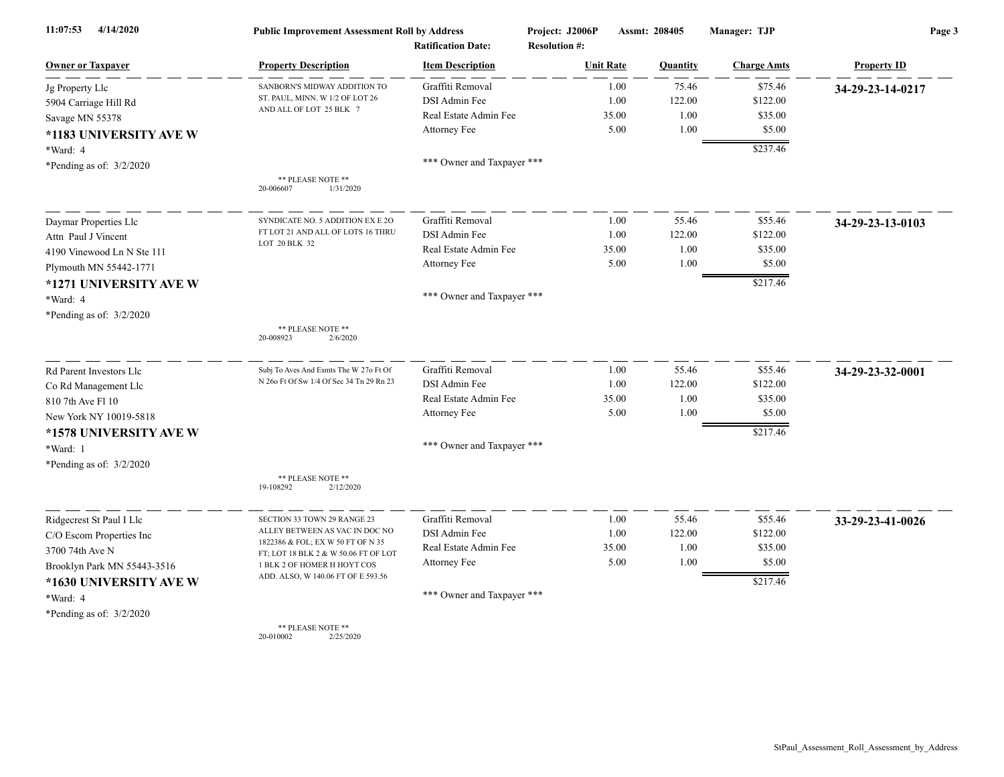| 4/14/2020<br>11:07:53       | <b>Public Improvement Assessment Roll by Address</b><br><b>Ratification Date:</b> |                            | Project: J2006P<br>Assmt: 208405<br><b>Resolution #:</b> |       |          | Manager: TJP       | Page 3             |  |
|-----------------------------|-----------------------------------------------------------------------------------|----------------------------|----------------------------------------------------------|-------|----------|--------------------|--------------------|--|
| <b>Owner or Taxpayer</b>    | <b>Property Description</b>                                                       | <b>Item Description</b>    | <b>Unit Rate</b>                                         |       | Quantity | <b>Charge Amts</b> | <b>Property ID</b> |  |
| Jg Property Llc             | SANBORN'S MIDWAY ADDITION TO                                                      | Graffiti Removal           |                                                          | 1.00  | 75.46    | \$75.46            | 34-29-23-14-0217   |  |
| 5904 Carriage Hill Rd       | ST. PAUL, MINN. W 1/2 OF LOT 26                                                   | DSI Admin Fee              |                                                          | 1.00  | 122.00   | \$122.00           |                    |  |
| Savage MN 55378             | AND ALL OF LOT 25 BLK 7                                                           | Real Estate Admin Fee      |                                                          | 35.00 | 1.00     | \$35.00            |                    |  |
| *1183 UNIVERSITY AVE W      |                                                                                   | Attorney Fee               |                                                          | 5.00  | 1.00     | \$5.00             |                    |  |
| *Ward: 4                    |                                                                                   |                            |                                                          |       |          | \$237.46           |                    |  |
| *Pending as of: $3/2/2020$  |                                                                                   | *** Owner and Taxpayer *** |                                                          |       |          |                    |                    |  |
|                             | ** PLEASE NOTE **<br>20-006607<br>1/31/2020                                       |                            |                                                          |       |          |                    |                    |  |
| Daymar Properties Llc       | SYNDICATE NO. 5 ADDITION EX E 2O                                                  | Graffiti Removal           |                                                          | 1.00  | 55.46    | \$55.46            | 34-29-23-13-0103   |  |
| Attn Paul J Vincent         | FT LOT 21 AND ALL OF LOTS 16 THRU                                                 | DSI Admin Fee              |                                                          | 1.00  | 122.00   | \$122.00           |                    |  |
| 4190 Vinewood Ln N Ste 111  | LOT 20 BLK 32                                                                     | Real Estate Admin Fee      |                                                          | 35.00 | 1.00     | \$35.00            |                    |  |
| Plymouth MN 55442-1771      |                                                                                   | Attorney Fee               |                                                          | 5.00  | 1.00     | \$5.00             |                    |  |
| *1271 UNIVERSITY AVE W      |                                                                                   |                            |                                                          |       |          | \$217.46           |                    |  |
| *Ward: 4                    |                                                                                   | *** Owner and Taxpayer *** |                                                          |       |          |                    |                    |  |
| *Pending as of: $3/2/2020$  |                                                                                   |                            |                                                          |       |          |                    |                    |  |
|                             | ** PLEASE NOTE **<br>20-008923<br>2/6/2020                                        |                            |                                                          |       |          |                    |                    |  |
| Rd Parent Investors Llc     | Subj To Aves And Esmts The W 27o Ft Of                                            | Graffiti Removal           |                                                          | 1.00  | 55.46    | \$55.46            | 34-29-23-32-0001   |  |
| Co Rd Management Llc        | N 260 Ft Of Sw 1/4 Of Sec 34 Tn 29 Rn 23                                          | DSI Admin Fee              |                                                          | 1.00  | 122.00   | \$122.00           |                    |  |
| 810 7th Ave Fl 10           |                                                                                   | Real Estate Admin Fee      |                                                          | 35.00 | 1.00     | \$35.00            |                    |  |
| New York NY 10019-5818      |                                                                                   | Attorney Fee               |                                                          | 5.00  | 1.00     | \$5.00             |                    |  |
| *1578 UNIVERSITY AVE W      |                                                                                   |                            |                                                          |       |          | \$217.46           |                    |  |
| *Ward: 1                    |                                                                                   | *** Owner and Taxpayer *** |                                                          |       |          |                    |                    |  |
| *Pending as of: $3/2/2020$  |                                                                                   |                            |                                                          |       |          |                    |                    |  |
|                             | ** PLEASE NOTE **<br>2/12/2020<br>19-108292                                       |                            |                                                          |       |          |                    |                    |  |
| Ridgecrest St Paul I Llc    | SECTION 33 TOWN 29 RANGE 23                                                       | Graffiti Removal           |                                                          | 1.00  | 55.46    | \$55.46            | 33-29-23-41-0026   |  |
| C/O Escom Properties Inc    | ALLEY BETWEEN AS VAC IN DOC NO                                                    | DSI Admin Fee              |                                                          | 1.00  | 122.00   | \$122.00           |                    |  |
| 3700 74th Ave N             | 1822386 & FOL; EX W 50 FT OF N 35<br>FT; LOT 18 BLK 2 & W 50.06 FT OF LOT         | Real Estate Admin Fee      |                                                          | 35.00 | 1.00     | \$35.00            |                    |  |
| Brooklyn Park MN 55443-3516 | 1 BLK 2 OF HOMER H HOYT COS                                                       | Attorney Fee               |                                                          | 5.00  | 1.00     | \$5.00             |                    |  |
| *1630 UNIVERSITY AVE W      | ADD. ALSO, W 140.06 FT OF E 593.56                                                |                            |                                                          |       |          | \$217.46           |                    |  |
| *Ward: 4                    |                                                                                   | *** Owner and Taxpayer *** |                                                          |       |          |                    |                    |  |
| *Pending as of: $3/2/2020$  | ** PLEASE NOTE **                                                                 |                            |                                                          |       |          |                    |                    |  |

20-010002 2/25/2020